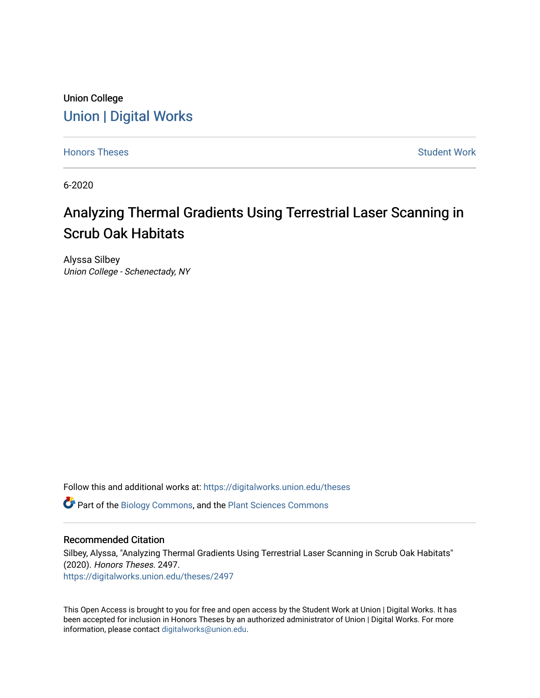# Union College [Union | Digital Works](https://digitalworks.union.edu/)

[Honors Theses](https://digitalworks.union.edu/theses) **Student Work** [Student Work](https://digitalworks.union.edu/studentwork) **Student Work** Student Work

6-2020

# Analyzing Thermal Gradients Using Terrestrial Laser Scanning in Scrub Oak Habitats

Alyssa Silbey Union College - Schenectady, NY

Follow this and additional works at: [https://digitalworks.union.edu/theses](https://digitalworks.union.edu/theses?utm_source=digitalworks.union.edu%2Ftheses%2F2497&utm_medium=PDF&utm_campaign=PDFCoverPages) 

Part of the [Biology Commons,](http://network.bepress.com/hgg/discipline/41?utm_source=digitalworks.union.edu%2Ftheses%2F2497&utm_medium=PDF&utm_campaign=PDFCoverPages) and the [Plant Sciences Commons](http://network.bepress.com/hgg/discipline/102?utm_source=digitalworks.union.edu%2Ftheses%2F2497&utm_medium=PDF&utm_campaign=PDFCoverPages) 

## Recommended Citation

Silbey, Alyssa, "Analyzing Thermal Gradients Using Terrestrial Laser Scanning in Scrub Oak Habitats" (2020). Honors Theses. 2497. [https://digitalworks.union.edu/theses/2497](https://digitalworks.union.edu/theses/2497?utm_source=digitalworks.union.edu%2Ftheses%2F2497&utm_medium=PDF&utm_campaign=PDFCoverPages)

This Open Access is brought to you for free and open access by the Student Work at Union | Digital Works. It has been accepted for inclusion in Honors Theses by an authorized administrator of Union | Digital Works. For more information, please contact [digitalworks@union.edu.](mailto:digitalworks@union.edu)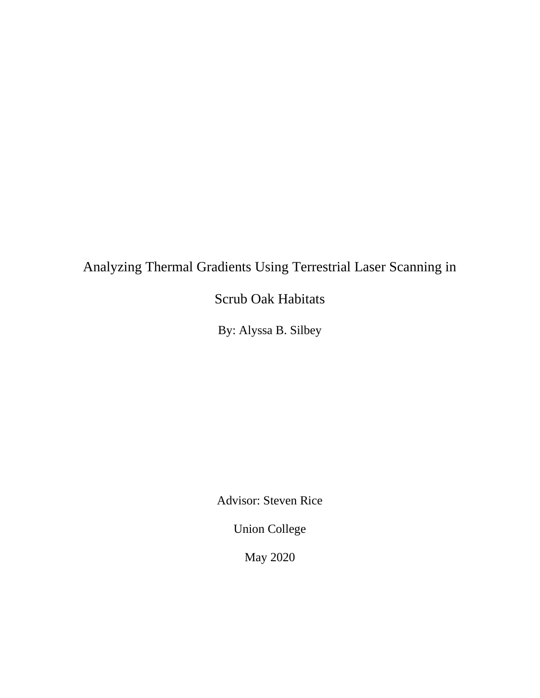# Analyzing Thermal Gradients Using Terrestrial Laser Scanning in

# Scrub Oak Habitats

By: Alyssa B. Silbey

Advisor: Steven Rice

Union College

May 2020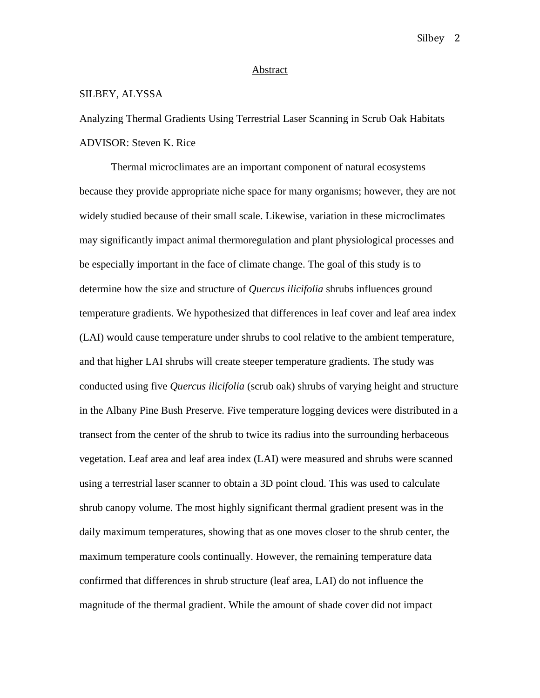#### Abstract

# SILBEY, ALYSSA

Analyzing Thermal Gradients Using Terrestrial Laser Scanning in Scrub Oak Habitats ADVISOR: Steven K. Rice

Thermal microclimates are an important component of natural ecosystems because they provide appropriate niche space for many organisms; however, they are not widely studied because of their small scale. Likewise, variation in these microclimates may significantly impact animal thermoregulation and plant physiological processes and be especially important in the face of climate change. The goal of this study is to determine how the size and structure of *Quercus ilicifolia* shrubs influences ground temperature gradients. We hypothesized that differences in leaf cover and leaf area index (LAI) would cause temperature under shrubs to cool relative to the ambient temperature, and that higher LAI shrubs will create steeper temperature gradients. The study was conducted using five *Quercus ilicifolia* (scrub oak) shrubs of varying height and structure in the Albany Pine Bush Preserve. Five temperature logging devices were distributed in a transect from the center of the shrub to twice its radius into the surrounding herbaceous vegetation. Leaf area and leaf area index (LAI) were measured and shrubs were scanned using a terrestrial laser scanner to obtain a 3D point cloud. This was used to calculate shrub canopy volume. The most highly significant thermal gradient present was in the daily maximum temperatures, showing that as one moves closer to the shrub center, the maximum temperature cools continually. However, the remaining temperature data confirmed that differences in shrub structure (leaf area, LAI) do not influence the magnitude of the thermal gradient. While the amount of shade cover did not impact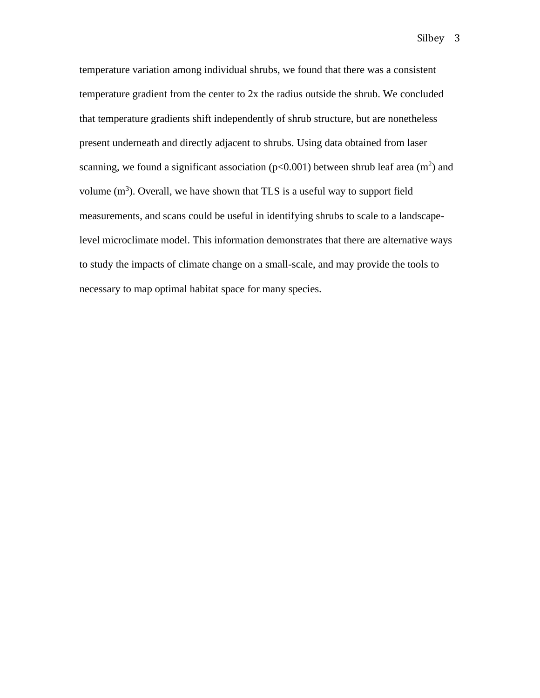temperature variation among individual shrubs, we found that there was a consistent temperature gradient from the center to 2x the radius outside the shrub. We concluded that temperature gradients shift independently of shrub structure, but are nonetheless present underneath and directly adjacent to shrubs. Using data obtained from laser scanning, we found a significant association ( $p<0.001$ ) between shrub leaf area (m<sup>2</sup>) and volume  $(m<sup>3</sup>)$ . Overall, we have shown that TLS is a useful way to support field measurements, and scans could be useful in identifying shrubs to scale to a landscapelevel microclimate model. This information demonstrates that there are alternative ways to study the impacts of climate change on a small-scale, and may provide the tools to necessary to map optimal habitat space for many species.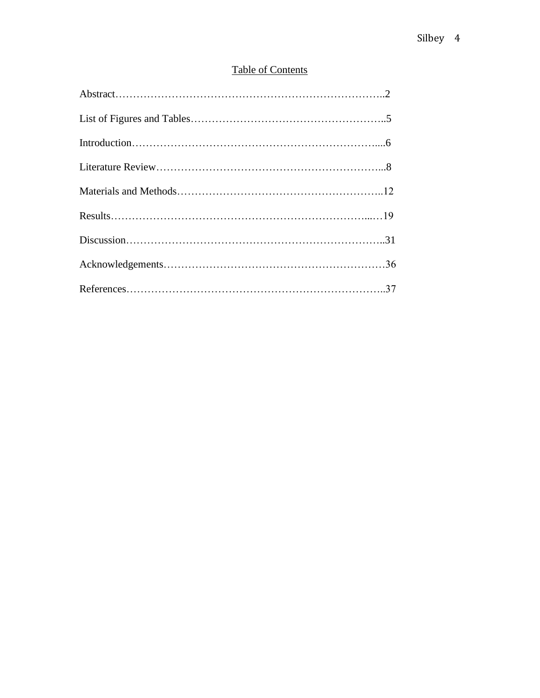# Table of Contents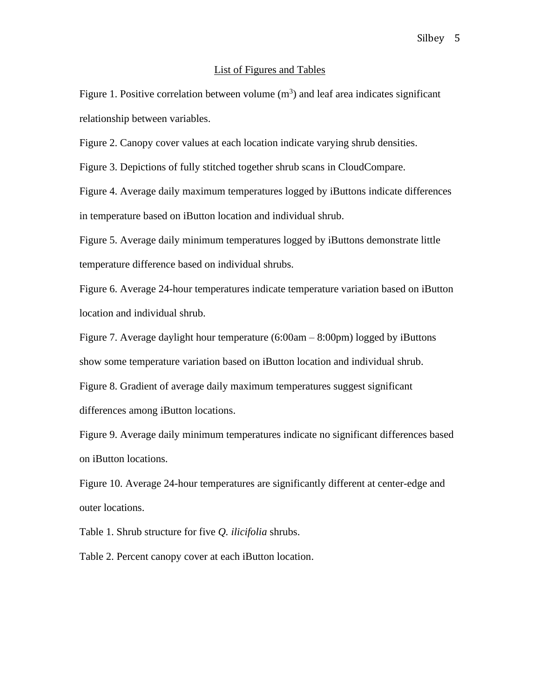#### List of Figures and Tables

Figure 1. Positive correlation between volume  $(m<sup>3</sup>)$  and leaf area indicates significant relationship between variables.

Figure 2. Canopy cover values at each location indicate varying shrub densities.

Figure 3. Depictions of fully stitched together shrub scans in CloudCompare.

Figure 4. Average daily maximum temperatures logged by iButtons indicate differences in temperature based on iButton location and individual shrub.

Figure 5. Average daily minimum temperatures logged by iButtons demonstrate little temperature difference based on individual shrubs.

Figure 6. Average 24-hour temperatures indicate temperature variation based on iButton location and individual shrub.

Figure 7. Average daylight hour temperature (6:00am – 8:00pm) logged by iButtons show some temperature variation based on iButton location and individual shrub. Figure 8. Gradient of average daily maximum temperatures suggest significant differences among iButton locations.

Figure 9. Average daily minimum temperatures indicate no significant differences based on iButton locations.

Figure 10. Average 24-hour temperatures are significantly different at center-edge and outer locations.

Table 1. Shrub structure for five *Q. ilicifolia* shrubs.

Table 2. Percent canopy cover at each iButton location.

#### Silbey 5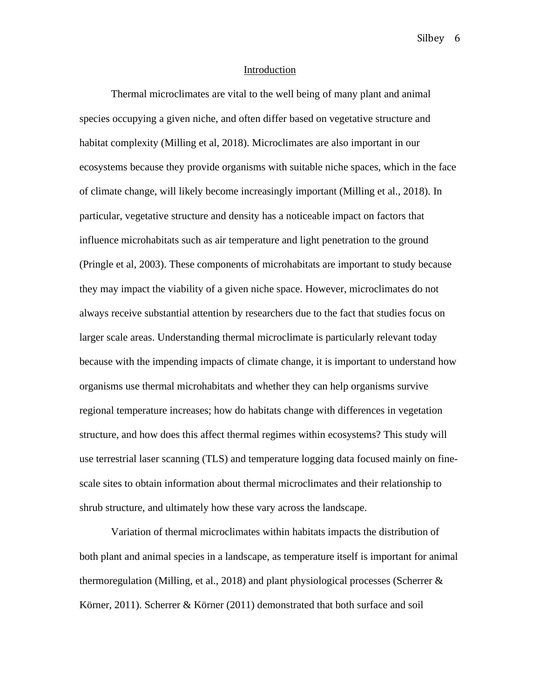#### Introduction

Thermal microclimates are vital to the well being of many plant and animal species occupying a given niche, and often differ based on vegetative structure and habitat complexity (Milling et al, 2018). Microclimates are also important in our ecosystems because they provide organisms with suitable niche spaces, which in the face of climate change, will likely become increasingly important (Milling et al., 2018). In particular, vegetative structure and density has a noticeable impact on factors that influence microhabitats such as air temperature and light penetration to the ground (Pringle et al, 2003). These components of microhabitats are important to study because they may impact the viability of a given niche space. However, microclimates do not always receive substantial attention by researchers due to the fact that studies focus on larger scale areas. Understanding thermal microclimate is particularly relevant today because with the impending impacts of climate change, it is important to understand how organisms use thermal microhabitats and whether they can help organisms survive regional temperature increases; how do habitats change with differences in vegetation structure, and how does this affect thermal regimes within ecosystems? This study will use terrestrial laser scanning (TLS) and temperature logging data focused mainly on finescale sites to obtain information about thermal microclimates and their relationship to shrub structure, and ultimately how these vary across the landscape.

Variation of thermal microclimates within habitats impacts the distribution of both plant and animal species in a landscape, as temperature itself is important for animal thermoregulation (Milling, et al., 2018) and plant physiological processes (Scherrer & Körner, 2011). Scherrer & Körner (2011) demonstrated that both surface and soil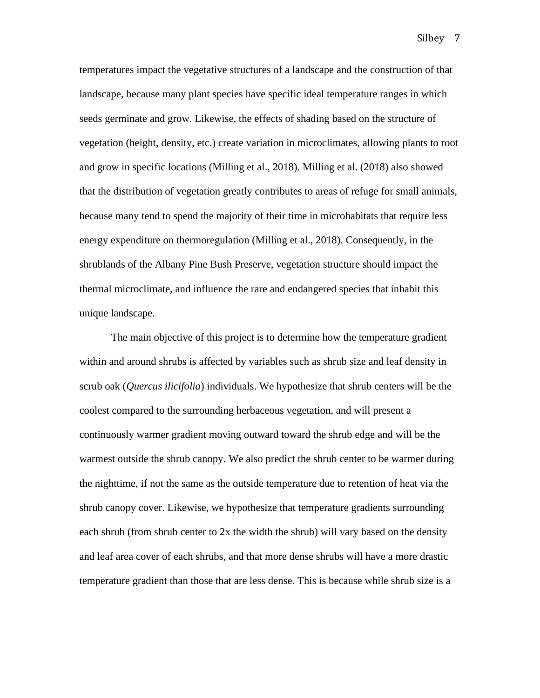temperatures impact the vegetative structures of a landscape and the construction of that

Silbey 7

landscape, because many plant species have specific ideal temperature ranges in which seeds germinate and grow. Likewise, the effects of shading based on the structure of vegetation (height, density, etc.) create variation in microclimates, allowing plants to root and grow in specific locations (Milling et al., 2018). Milling et al. (2018) also showed that the distribution of vegetation greatly contributes to areas of refuge for small animals, because many tend to spend the majority of their time in microhabitats that require less energy expenditure on thermoregulation (Milling et al., 2018). Consequently, in the shrublands of the Albany Pine Bush Preserve, vegetation structure should impact the thermal microclimate, and influence the rare and endangered species that inhabit this unique landscape.

The main objective of this project is to determine how the temperature gradient within and around shrubs is affected by variables such as shrub size and leaf density in scrub oak (*Quercus ilicifolia*) individuals. We hypothesize that shrub centers will be the coolest compared to the surrounding herbaceous vegetation, and will present a continuously warmer gradient moving outward toward the shrub edge and will be the warmest outside the shrub canopy. We also predict the shrub center to be warmer during the nighttime, if not the same as the outside temperature due to retention of heat via the shrub canopy cover. Likewise, we hypothesize that temperature gradients surrounding each shrub (from shrub center to 2x the width the shrub) will vary based on the density and leaf area cover of each shrubs, and that more dense shrubs will have a more drastic temperature gradient than those that are less dense. This is because while shrub size is a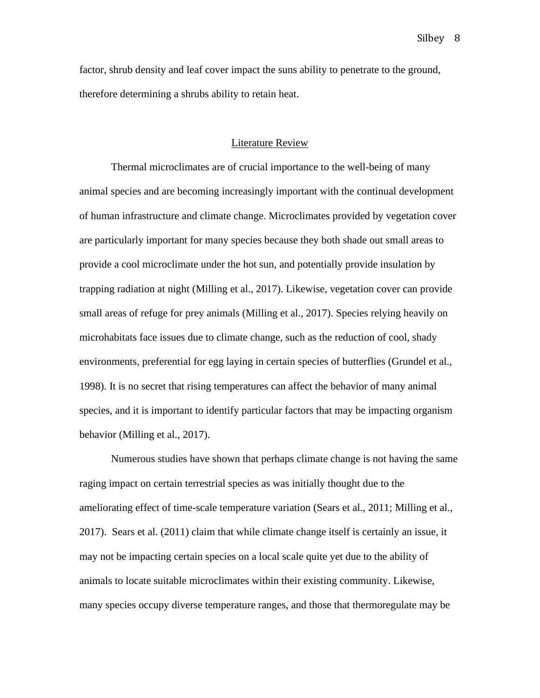factor, shrub density and leaf cover impact the suns ability to penetrate to the ground, therefore determining a shrubs ability to retain heat.

## Literature Review

Thermal microclimates are of crucial importance to the well-being of many animal species and are becoming increasingly important with the continual development of human infrastructure and climate change. Microclimates provided by vegetation cover are particularly important for many species because they both shade out small areas to provide a cool microclimate under the hot sun, and potentially provide insulation by trapping radiation at night (Milling et al., 2017). Likewise, vegetation cover can provide small areas of refuge for prey animals (Milling et al., 2017). Species relying heavily on microhabitats face issues due to climate change, such as the reduction of cool, shady environments, preferential for egg laying in certain species of butterflies (Grundel et al., 1998). It is no secret that rising temperatures can affect the behavior of many animal species, and it is important to identify particular factors that may be impacting organism behavior (Milling et al., 2017).

Numerous studies have shown that perhaps climate change is not having the same raging impact on certain terrestrial species as was initially thought due to the ameliorating effect of time-scale temperature variation (Sears et al., 2011; Milling et al., 2017). Sears et al. (2011) claim that while climate change itself is certainly an issue, it may not be impacting certain species on a local scale quite yet due to the ability of animals to locate suitable microclimates within their existing community. Likewise, many species occupy diverse temperature ranges, and those that thermoregulate may be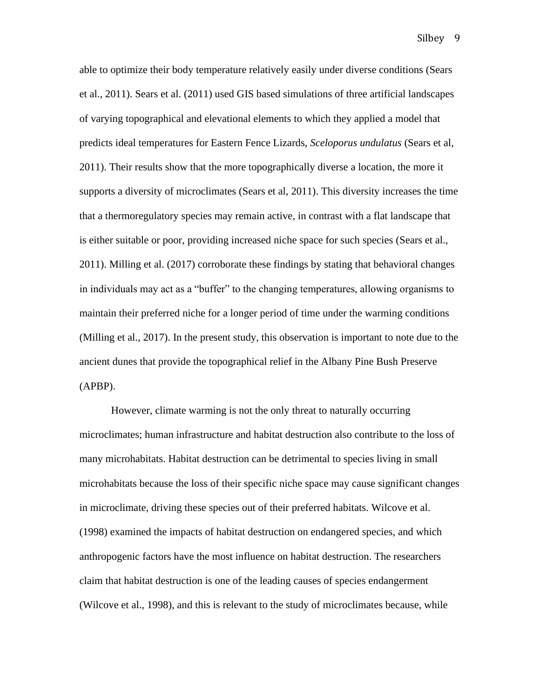able to optimize their body temperature relatively easily under diverse conditions (Sears et al., 2011). Sears et al. (2011) used GIS based simulations of three artificial landscapes of varying topographical and elevational elements to which they applied a model that predicts ideal temperatures for Eastern Fence Lizards, *Sceloporus undulatus* (Sears et al, 2011). Their results show that the more topographically diverse a location, the more it supports a diversity of microclimates (Sears et al, 2011). This diversity increases the time that a thermoregulatory species may remain active, in contrast with a flat landscape that is either suitable or poor, providing increased niche space for such species (Sears et al., 2011). Milling et al. (2017) corroborate these findings by stating that behavioral changes in individuals may act as a "buffer" to the changing temperatures, allowing organisms to maintain their preferred niche for a longer period of time under the warming conditions (Milling et al., 2017). In the present study, this observation is important to note due to the ancient dunes that provide the topographical relief in the Albany Pine Bush Preserve (APBP).

However, climate warming is not the only threat to naturally occurring microclimates; human infrastructure and habitat destruction also contribute to the loss of many microhabitats. Habitat destruction can be detrimental to species living in small microhabitats because the loss of their specific niche space may cause significant changes in microclimate, driving these species out of their preferred habitats. Wilcove et al. (1998) examined the impacts of habitat destruction on endangered species, and which anthropogenic factors have the most influence on habitat destruction. The researchers claim that habitat destruction is one of the leading causes of species endangerment (Wilcove et al., 1998), and this is relevant to the study of microclimates because, while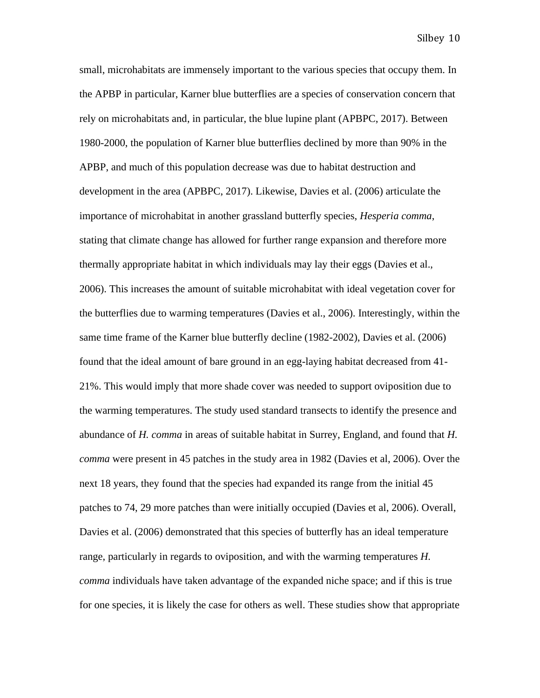small, microhabitats are immensely important to the various species that occupy them. In the APBP in particular, Karner blue butterflies are a species of conservation concern that rely on microhabitats and, in particular, the blue lupine plant (APBPC, 2017). Between 1980-2000, the population of Karner blue butterflies declined by more than 90% in the APBP, and much of this population decrease was due to habitat destruction and development in the area (APBPC, 2017). Likewise, Davies et al. (2006) articulate the importance of microhabitat in another grassland butterfly species, *Hesperia comma*, stating that climate change has allowed for further range expansion and therefore more thermally appropriate habitat in which individuals may lay their eggs (Davies et al., 2006). This increases the amount of suitable microhabitat with ideal vegetation cover for the butterflies due to warming temperatures (Davies et al., 2006). Interestingly, within the same time frame of the Karner blue butterfly decline (1982-2002), Davies et al. (2006) found that the ideal amount of bare ground in an egg-laying habitat decreased from 41- 21%. This would imply that more shade cover was needed to support oviposition due to the warming temperatures. The study used standard transects to identify the presence and abundance of *H. comma* in areas of suitable habitat in Surrey, England, and found that *H. comma* were present in 45 patches in the study area in 1982 (Davies et al, 2006). Over the next 18 years, they found that the species had expanded its range from the initial 45 patches to 74, 29 more patches than were initially occupied (Davies et al, 2006). Overall, Davies et al. (2006) demonstrated that this species of butterfly has an ideal temperature range, particularly in regards to oviposition, and with the warming temperatures *H. comma* individuals have taken advantage of the expanded niche space; and if this is true for one species, it is likely the case for others as well. These studies show that appropriate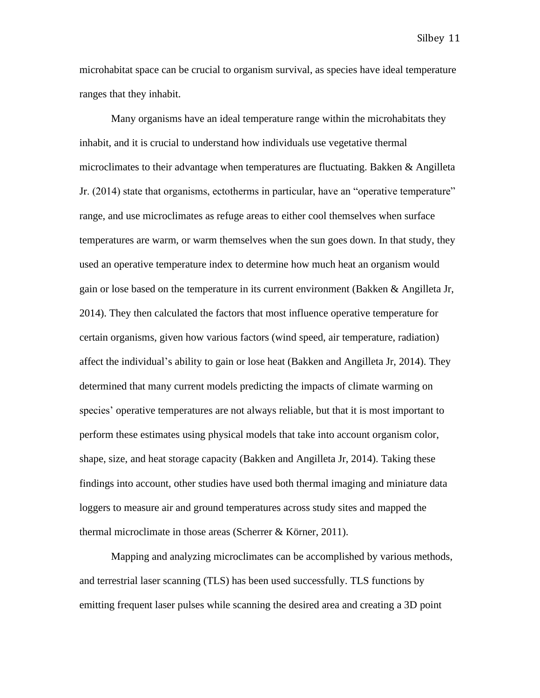microhabitat space can be crucial to organism survival, as species have ideal temperature ranges that they inhabit.

Many organisms have an ideal temperature range within the microhabitats they inhabit, and it is crucial to understand how individuals use vegetative thermal microclimates to their advantage when temperatures are fluctuating. Bakken  $\&$  Angilleta Jr. (2014) state that organisms, ectotherms in particular, have an "operative temperature" range, and use microclimates as refuge areas to either cool themselves when surface temperatures are warm, or warm themselves when the sun goes down. In that study, they used an operative temperature index to determine how much heat an organism would gain or lose based on the temperature in its current environment (Bakken & Angilleta Jr, 2014). They then calculated the factors that most influence operative temperature for certain organisms, given how various factors (wind speed, air temperature, radiation) affect the individual's ability to gain or lose heat (Bakken and Angilleta Jr, 2014). They determined that many current models predicting the impacts of climate warming on species' operative temperatures are not always reliable, but that it is most important to perform these estimates using physical models that take into account organism color, shape, size, and heat storage capacity (Bakken and Angilleta Jr, 2014). Taking these findings into account, other studies have used both thermal imaging and miniature data loggers to measure air and ground temperatures across study sites and mapped the thermal microclimate in those areas (Scherrer & Körner, 2011).

Mapping and analyzing microclimates can be accomplished by various methods, and terrestrial laser scanning (TLS) has been used successfully. TLS functions by emitting frequent laser pulses while scanning the desired area and creating a 3D point

Silbey 11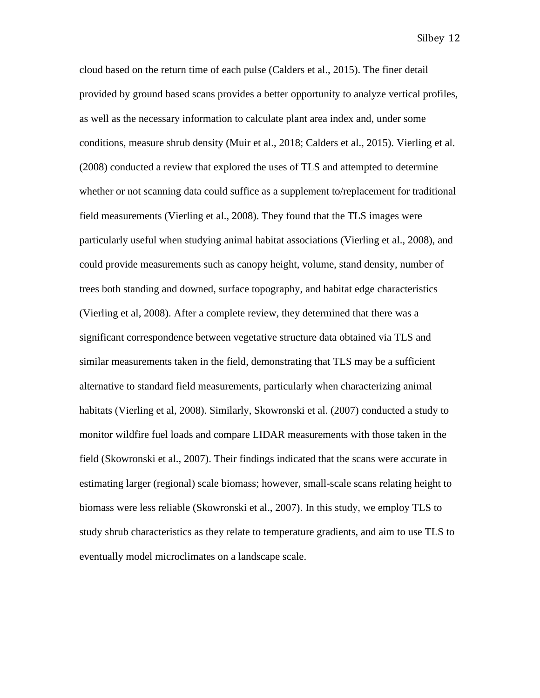cloud based on the return time of each pulse (Calders et al., 2015). The finer detail provided by ground based scans provides a better opportunity to analyze vertical profiles, as well as the necessary information to calculate plant area index and, under some conditions, measure shrub density (Muir et al., 2018; Calders et al., 2015). Vierling et al. (2008) conducted a review that explored the uses of TLS and attempted to determine whether or not scanning data could suffice as a supplement to/replacement for traditional field measurements (Vierling et al., 2008). They found that the TLS images were particularly useful when studying animal habitat associations (Vierling et al., 2008), and could provide measurements such as canopy height, volume, stand density, number of trees both standing and downed, surface topography, and habitat edge characteristics (Vierling et al, 2008). After a complete review, they determined that there was a significant correspondence between vegetative structure data obtained via TLS and similar measurements taken in the field, demonstrating that TLS may be a sufficient alternative to standard field measurements, particularly when characterizing animal habitats (Vierling et al, 2008). Similarly, Skowronski et al. (2007) conducted a study to monitor wildfire fuel loads and compare LIDAR measurements with those taken in the field (Skowronski et al., 2007). Their findings indicated that the scans were accurate in estimating larger (regional) scale biomass; however, small-scale scans relating height to biomass were less reliable (Skowronski et al., 2007). In this study, we employ TLS to study shrub characteristics as they relate to temperature gradients, and aim to use TLS to eventually model microclimates on a landscape scale.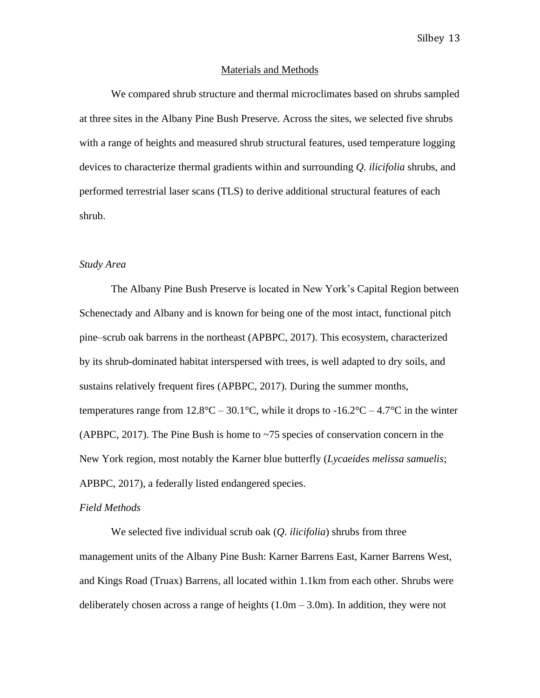#### Materials and Methods

We compared shrub structure and thermal microclimates based on shrubs sampled at three sites in the Albany Pine Bush Preserve. Across the sites, we selected five shrubs with a range of heights and measured shrub structural features, used temperature logging devices to characterize thermal gradients within and surrounding *Q. ilicifolia* shrubs, and performed terrestrial laser scans (TLS) to derive additional structural features of each shrub.

## *Study Area*

The Albany Pine Bush Preserve is located in New York's Capital Region between Schenectady and Albany and is known for being one of the most intact, functional pitch pine–scrub oak barrens in the northeast (APBPC, 2017). This ecosystem, characterized by its shrub-dominated habitat interspersed with trees, is well adapted to dry soils, and sustains relatively frequent fires (APBPC, 2017). During the summer months, temperatures range from  $12.8^{\circ}\text{C} - 30.1^{\circ}\text{C}$ , while it drops to  $-16.2^{\circ}\text{C} - 4.7^{\circ}\text{C}$  in the winter (APBPC, 2017). The Pine Bush is home to ~75 species of conservation concern in the New York region, most notably the Karner blue butterfly (*Lycaeides melissa samuelis*; APBPC, 2017), a federally listed endangered species.

#### *Field Methods*

We selected five individual scrub oak (*Q. ilicifolia*) shrubs from three management units of the Albany Pine Bush: Karner Barrens East, Karner Barrens West, and Kings Road (Truax) Barrens, all located within 1.1km from each other. Shrubs were deliberately chosen across a range of heights  $(1.0m - 3.0m)$ . In addition, they were not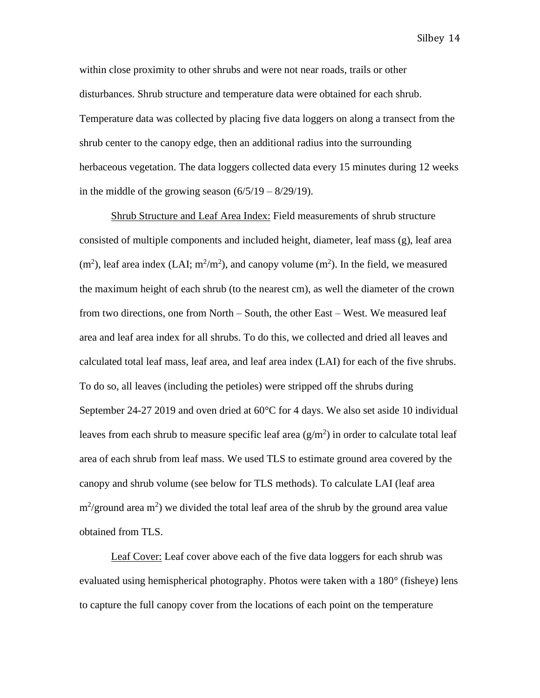within close proximity to other shrubs and were not near roads, trails or other disturbances. Shrub structure and temperature data were obtained for each shrub. Temperature data was collected by placing five data loggers on along a transect from the shrub center to the canopy edge, then an additional radius into the surrounding herbaceous vegetation. The data loggers collected data every 15 minutes during 12 weeks in the middle of the growing season  $(6/5/19 - 8/29/19)$ .

Shrub Structure and Leaf Area Index: Field measurements of shrub structure consisted of multiple components and included height, diameter, leaf mass (g), leaf area  $(m<sup>2</sup>)$ , leaf area index (LAI;  $m<sup>2</sup>/m<sup>2</sup>$ ), and canopy volume  $(m<sup>2</sup>)$ . In the field, we measured the maximum height of each shrub (to the nearest cm), as well the diameter of the crown from two directions, one from North – South, the other East – West. We measured leaf area and leaf area index for all shrubs. To do this, we collected and dried all leaves and calculated total leaf mass, leaf area, and leaf area index (LAI) for each of the five shrubs. To do so, all leaves (including the petioles) were stripped off the shrubs during September 24-27 2019 and oven dried at 60°C for 4 days. We also set aside 10 individual leaves from each shrub to measure specific leaf area  $(g/m^2)$  in order to calculate total leaf area of each shrub from leaf mass. We used TLS to estimate ground area covered by the canopy and shrub volume (see below for TLS methods). To calculate LAI (leaf area  $\text{m}^2/\text{ground area m}^2$ ) we divided the total leaf area of the shrub by the ground area value obtained from TLS.

Leaf Cover: Leaf cover above each of the five data loggers for each shrub was evaluated using hemispherical photography. Photos were taken with a 180° (fisheye) lens to capture the full canopy cover from the locations of each point on the temperature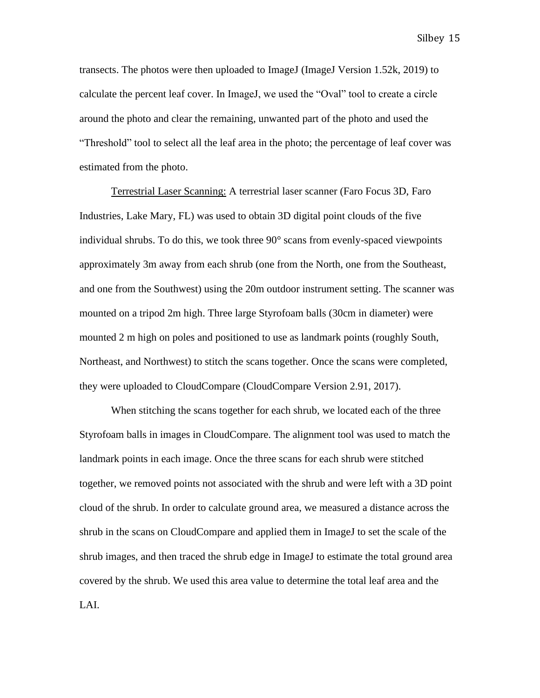transects. The photos were then uploaded to ImageJ (ImageJ Version 1.52k, 2019) to calculate the percent leaf cover. In ImageJ, we used the "Oval" tool to create a circle around the photo and clear the remaining, unwanted part of the photo and used the "Threshold" tool to select all the leaf area in the photo; the percentage of leaf cover was estimated from the photo.

Terrestrial Laser Scanning: A terrestrial laser scanner (Faro Focus 3D, Faro Industries, Lake Mary, FL) was used to obtain 3D digital point clouds of the five individual shrubs. To do this, we took three 90° scans from evenly-spaced viewpoints approximately 3m away from each shrub (one from the North, one from the Southeast, and one from the Southwest) using the 20m outdoor instrument setting. The scanner was mounted on a tripod 2m high. Three large Styrofoam balls (30cm in diameter) were mounted 2 m high on poles and positioned to use as landmark points (roughly South, Northeast, and Northwest) to stitch the scans together. Once the scans were completed, they were uploaded to CloudCompare (CloudCompare Version 2.91, 2017).

When stitching the scans together for each shrub, we located each of the three Styrofoam balls in images in CloudCompare. The alignment tool was used to match the landmark points in each image. Once the three scans for each shrub were stitched together, we removed points not associated with the shrub and were left with a 3D point cloud of the shrub. In order to calculate ground area, we measured a distance across the shrub in the scans on CloudCompare and applied them in ImageJ to set the scale of the shrub images, and then traced the shrub edge in ImageJ to estimate the total ground area covered by the shrub. We used this area value to determine the total leaf area and the LAI.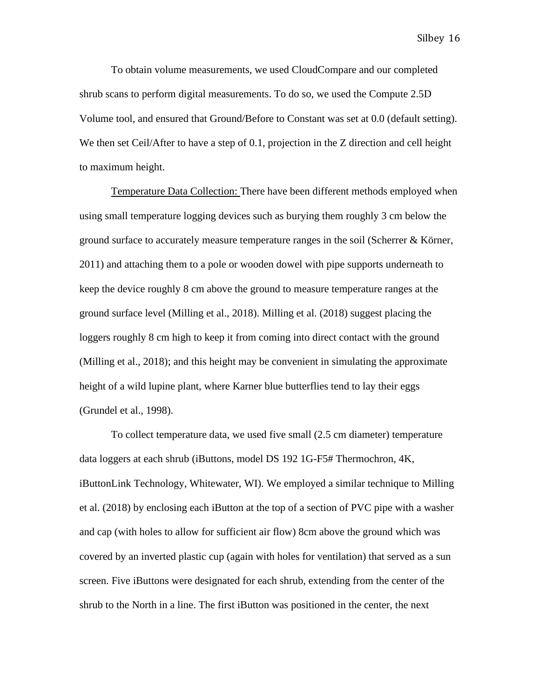To obtain volume measurements, we used CloudCompare and our completed shrub scans to perform digital measurements. To do so, we used the Compute 2.5D Volume tool, and ensured that Ground/Before to Constant was set at 0.0 (default setting). We then set Ceil/After to have a step of 0.1, projection in the Z direction and cell height to maximum height.

Temperature Data Collection: There have been different methods employed when using small temperature logging devices such as burying them roughly 3 cm below the ground surface to accurately measure temperature ranges in the soil (Scherrer  $\&$  Körner, 2011) and attaching them to a pole or wooden dowel with pipe supports underneath to keep the device roughly 8 cm above the ground to measure temperature ranges at the ground surface level (Milling et al., 2018). Milling et al. (2018) suggest placing the loggers roughly 8 cm high to keep it from coming into direct contact with the ground (Milling et al., 2018); and this height may be convenient in simulating the approximate height of a wild lupine plant, where Karner blue butterflies tend to lay their eggs (Grundel et al., 1998).

To collect temperature data, we used five small (2.5 cm diameter) temperature data loggers at each shrub (iButtons, model DS 192 1G-F5# Thermochron, 4K, iButtonLink Technology, Whitewater, WI). We employed a similar technique to Milling et al. (2018) by enclosing each iButton at the top of a section of PVC pipe with a washer and cap (with holes to allow for sufficient air flow) 8cm above the ground which was covered by an inverted plastic cup (again with holes for ventilation) that served as a sun screen. Five iButtons were designated for each shrub, extending from the center of the shrub to the North in a line. The first iButton was positioned in the center, the next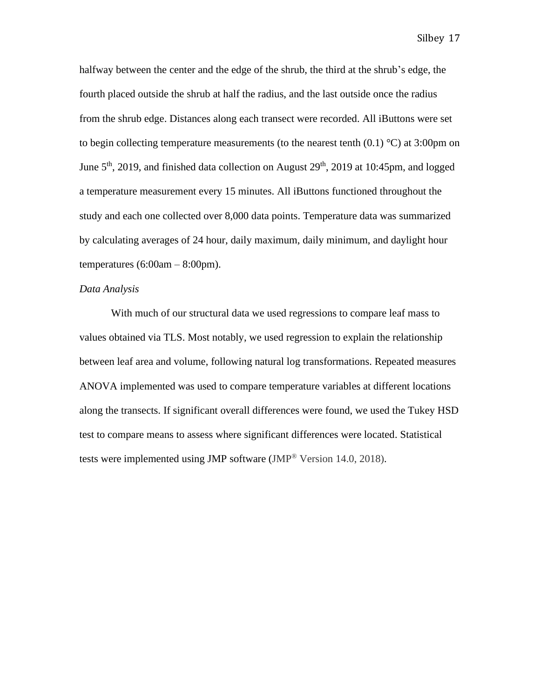halfway between the center and the edge of the shrub, the third at the shrub's edge, the fourth placed outside the shrub at half the radius, and the last outside once the radius from the shrub edge. Distances along each transect were recorded. All iButtons were set to begin collecting temperature measurements (to the nearest tenth  $(0.1)$  °C) at 3:00pm on June  $5<sup>th</sup>$ , 2019, and finished data collection on August  $29<sup>th</sup>$ , 2019 at 10:45pm, and logged a temperature measurement every 15 minutes. All iButtons functioned throughout the study and each one collected over 8,000 data points. Temperature data was summarized by calculating averages of 24 hour, daily maximum, daily minimum, and daylight hour temperatures  $(6:00am - 8:00pm)$ .

## *Data Analysis*

With much of our structural data we used regressions to compare leaf mass to values obtained via TLS. Most notably, we used regression to explain the relationship between leaf area and volume, following natural log transformations. Repeated measures ANOVA implemented was used to compare temperature variables at different locations along the transects. If significant overall differences were found, we used the Tukey HSD test to compare means to assess where significant differences were located. Statistical tests were implemented using JMP software (JMP<sup>®</sup> Version 14.0, 2018).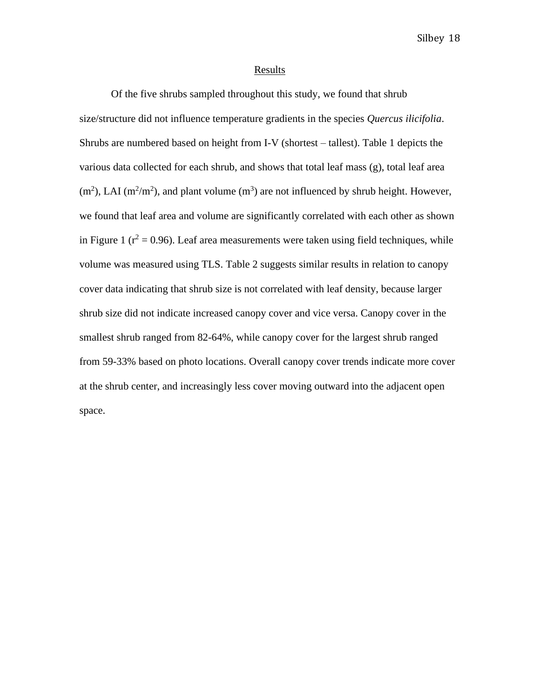#### **Results**

Of the five shrubs sampled throughout this study, we found that shrub size/structure did not influence temperature gradients in the species *Quercus ilicifolia*. Shrubs are numbered based on height from I-V (shortest – tallest). Table 1 depicts the various data collected for each shrub, and shows that total leaf mass (g), total leaf area  $(m<sup>2</sup>)$ , LAI  $(m<sup>2</sup>/m<sup>2</sup>)$ , and plant volume  $(m<sup>3</sup>)$  are not influenced by shrub height. However, we found that leaf area and volume are significantly correlated with each other as shown in Figure 1 ( $r^2$  = 0.96). Leaf area measurements were taken using field techniques, while volume was measured using TLS. Table 2 suggests similar results in relation to canopy cover data indicating that shrub size is not correlated with leaf density, because larger shrub size did not indicate increased canopy cover and vice versa. Canopy cover in the smallest shrub ranged from 82-64%, while canopy cover for the largest shrub ranged from 59-33% based on photo locations. Overall canopy cover trends indicate more cover at the shrub center, and increasingly less cover moving outward into the adjacent open space.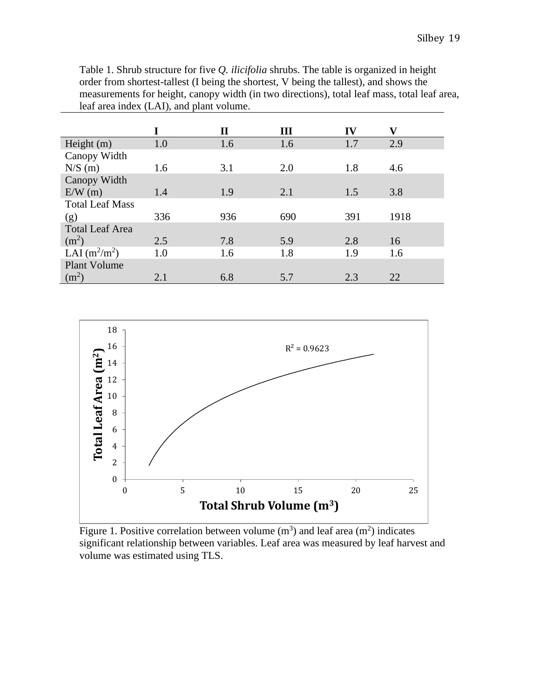Table 1. Shrub structure for five *Q. ilicifolia* shrubs. The table is organized in height order from shortest-tallest (I being the shortest, V being the tallest), and shows the measurements for height, canopy width (in two directions), total leaf mass, total leaf area, leaf area index (LAI), and plant volume.

|                        |     | П   | Ш   | IV  | v    |
|------------------------|-----|-----|-----|-----|------|
| Height $(m)$           | 1.0 | 1.6 | 1.6 | 1.7 | 2.9  |
| Canopy Width           |     |     |     |     |      |
| N/S(m)                 | 1.6 | 3.1 | 2.0 | 1.8 | 4.6  |
| Canopy Width           |     |     |     |     |      |
| E/W(m)                 | 1.4 | 1.9 | 2.1 | 1.5 | 3.8  |
| <b>Total Leaf Mass</b> |     |     |     |     |      |
| (g)                    | 336 | 936 | 690 | 391 | 1918 |
| <b>Total Leaf Area</b> |     |     |     |     |      |
| (m <sup>2</sup> )      | 2.5 | 7.8 | 5.9 | 2.8 | 16   |
| LAI $(m^2/m^2)$        | 1.0 | 1.6 | 1.8 | 1.9 | 1.6  |
| <b>Plant Volume</b>    |     |     |     |     |      |
| (m <sup>2</sup> )      | 2.1 | 6.8 | 5.7 | 2.3 | 22   |



Figure 1. Positive correlation between volume  $(m^3)$  and leaf area  $(m^2)$  indicates significant relationship between variables. Leaf area was measured by leaf harvest and volume was estimated using TLS.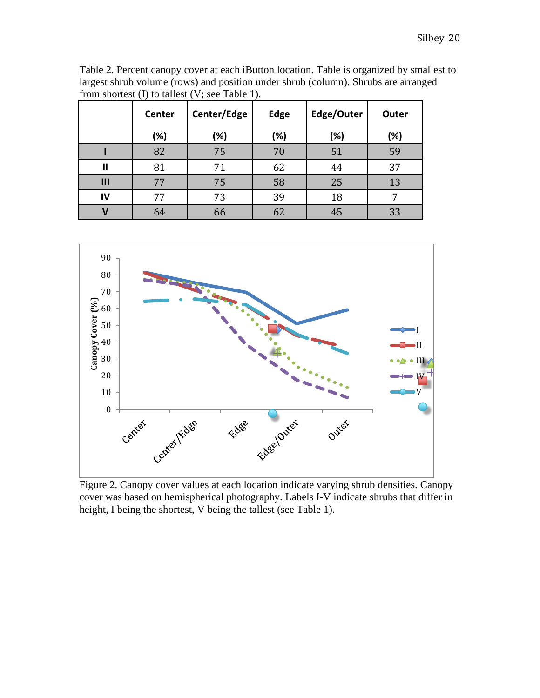Table 2. Percent canopy cover at each iButton location. Table is organized by smallest to largest shrub volume (rows) and position under shrub (column). Shrubs are arranged from shortest (I) to tallest (V; see Table 1).

|     | Center | Center/Edge | <b>Edge</b> | Edge/Outer | Outer |
|-----|--------|-------------|-------------|------------|-------|
|     | (%)    | (%)         | (%)         | (%)        | (%)   |
|     | 82     | 75          | 70          | 51         | 59    |
| Ш   | 81     | 71          | 62          | 44         | 37    |
| III | 77     | 75          | 58          | 25         | 13    |
| IV  | 77     | 73          | 39          | 18         |       |
|     | 64     | 66          | 62          | 45         | 33    |



Figure 2. Canopy cover values at each location indicate varying shrub densities. Canopy cover was based on hemispherical photography. Labels I-V indicate shrubs that differ in height, I being the shortest, V being the tallest (see Table 1).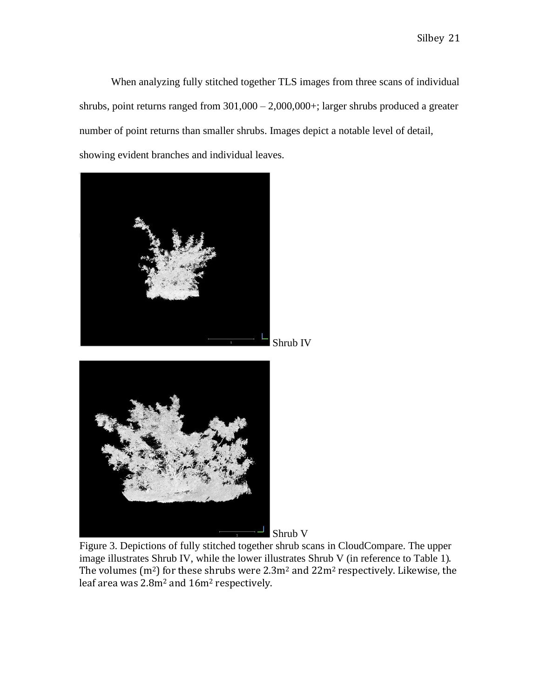When analyzing fully stitched together TLS images from three scans of individual shrubs, point returns ranged from 301,000 – 2,000,000+; larger shrubs produced a greater number of point returns than smaller shrubs. Images depict a notable level of detail, showing evident branches and individual leaves.



Figure 3. Depictions of fully stitched together shrub scans in CloudCompare. The upper image illustrates Shrub IV, while the lower illustrates Shrub V (in reference to Table 1). The volumes ( $m<sup>2</sup>$ ) for these shrubs were 2.3 $m<sup>2</sup>$  and 22 $m<sup>2</sup>$  respectively. Likewise, the leaf area was 2.8m<sup>2</sup> and 16m<sup>2</sup> respectively.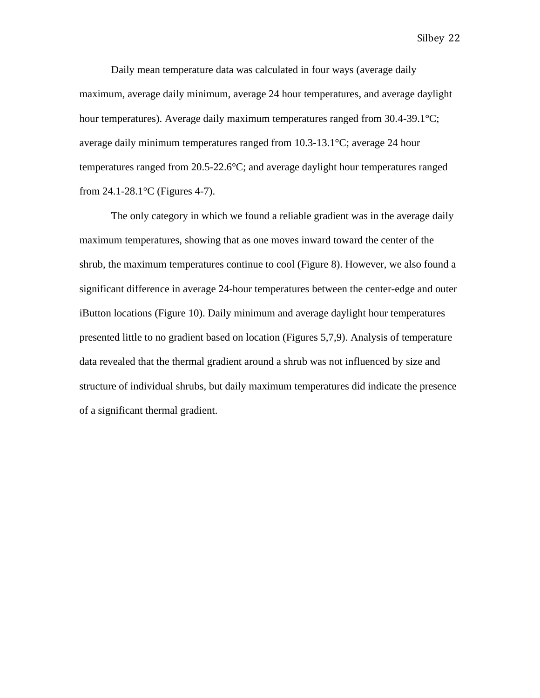Daily mean temperature data was calculated in four ways (average daily maximum, average daily minimum, average 24 hour temperatures, and average daylight hour temperatures). Average daily maximum temperatures ranged from 30.4-39.1°C; average daily minimum temperatures ranged from 10.3-13.1°C; average 24 hour temperatures ranged from 20.5-22.6°C; and average daylight hour temperatures ranged from 24.1-28.1°C (Figures 4-7).

The only category in which we found a reliable gradient was in the average daily maximum temperatures, showing that as one moves inward toward the center of the shrub, the maximum temperatures continue to cool (Figure 8). However, we also found a significant difference in average 24-hour temperatures between the center-edge and outer iButton locations (Figure 10). Daily minimum and average daylight hour temperatures presented little to no gradient based on location (Figures 5,7,9). Analysis of temperature data revealed that the thermal gradient around a shrub was not influenced by size and structure of individual shrubs, but daily maximum temperatures did indicate the presence of a significant thermal gradient.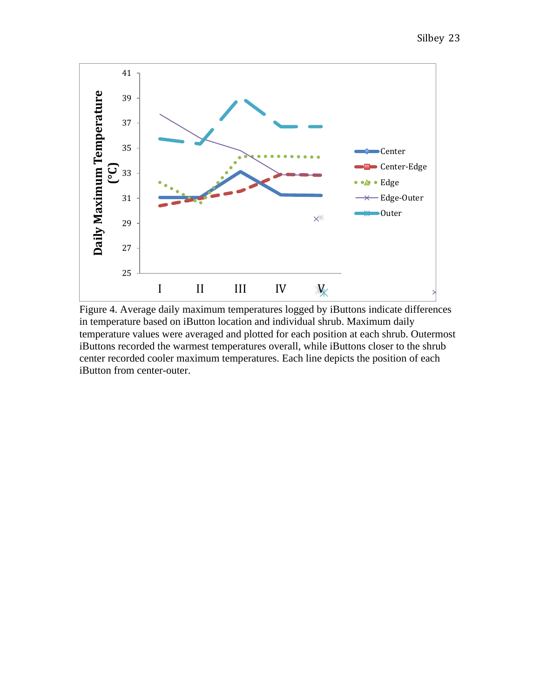

Figure 4. Average daily maximum temperatures logged by iButtons indicate differences in temperature based on iButton location and individual shrub. Maximum daily temperature values were averaged and plotted for each position at each shrub. Outermost iButtons recorded the warmest temperatures overall, while iButtons closer to the shrub center recorded cooler maximum temperatures. Each line depicts the position of each iButton from center-outer.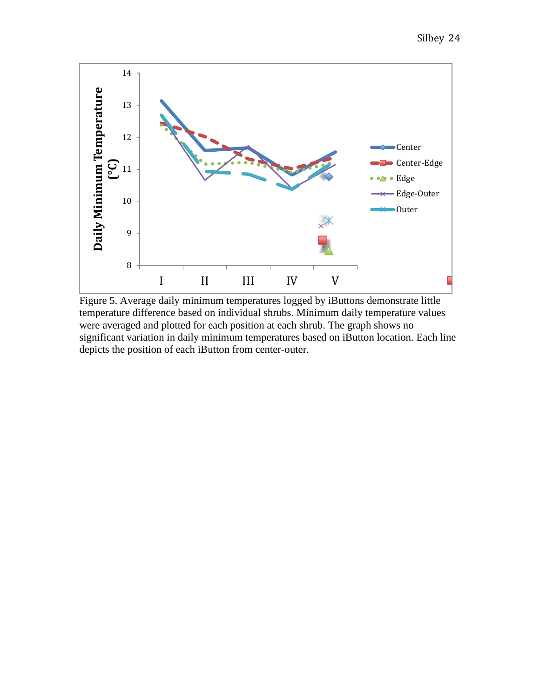

Figure 5. Average daily minimum temperatures logged by iButtons demonstrate little temperature difference based on individual shrubs. Minimum daily temperature values were averaged and plotted for each position at each shrub. The graph shows no significant variation in daily minimum temperatures based on iButton location. Each line depicts the position of each iButton from center-outer.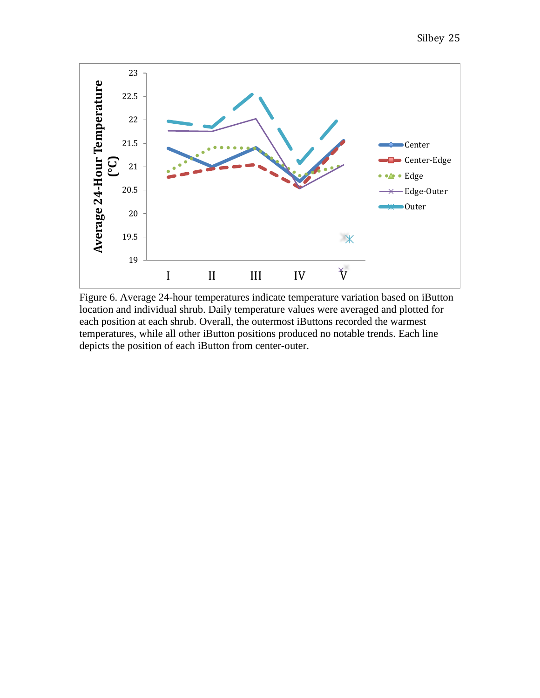

Figure 6. Average 24-hour temperatures indicate temperature variation based on iButton location and individual shrub. Daily temperature values were averaged and plotted for each position at each shrub. Overall, the outermost iButtons recorded the warmest temperatures, while all other iButton positions produced no notable trends. Each line depicts the position of each iButton from center-outer.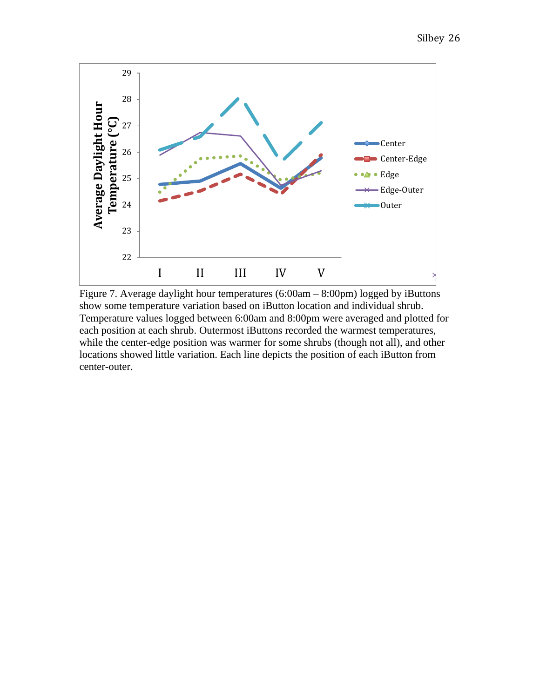

Figure 7. Average daylight hour temperatures (6:00am – 8:00pm) logged by iButtons show some temperature variation based on iButton location and individual shrub. Temperature values logged between 6:00am and 8:00pm were averaged and plotted for each position at each shrub. Outermost iButtons recorded the warmest temperatures, while the center-edge position was warmer for some shrubs (though not all), and other locations showed little variation. Each line depicts the position of each iButton from center-outer.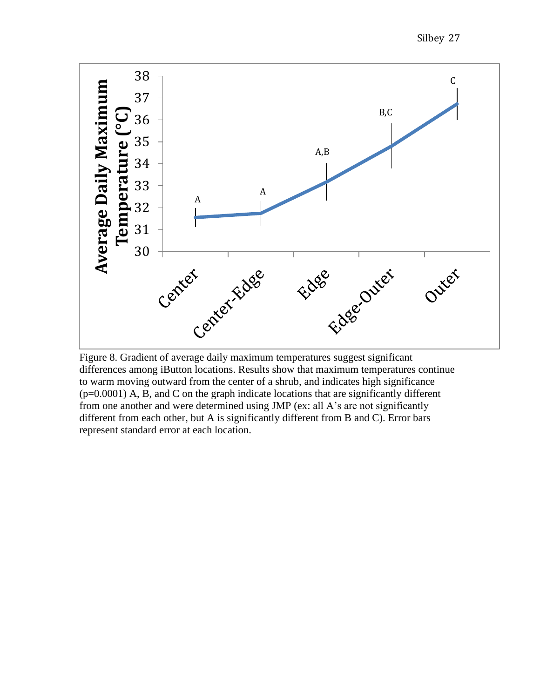Silbey 27



differences among iButton locations. Results show that maximum temperatures continue to warm moving outward from the center of a shrub, and indicates high significance  $(p=0.0001)$  A, B, and C on the graph indicate locations that are significantly different from one another and were determined using JMP (ex: all A's are not significantly different from each other, but A is significantly different from B and C). Error bars represent standard error at each location.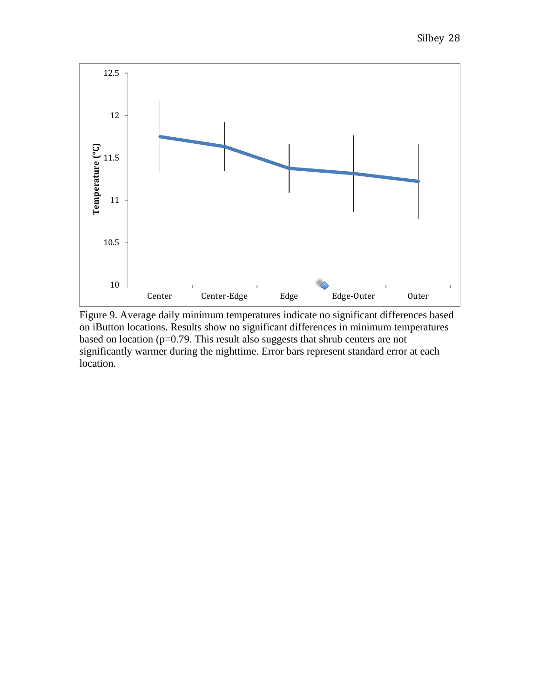

Figure 9. Average daily minimum temperatures indicate no significant differences based on iButton locations. Results show no significant differences in minimum temperatures based on location (p=0.79. This result also suggests that shrub centers are not significantly warmer during the nighttime. Error bars represent standard error at each location.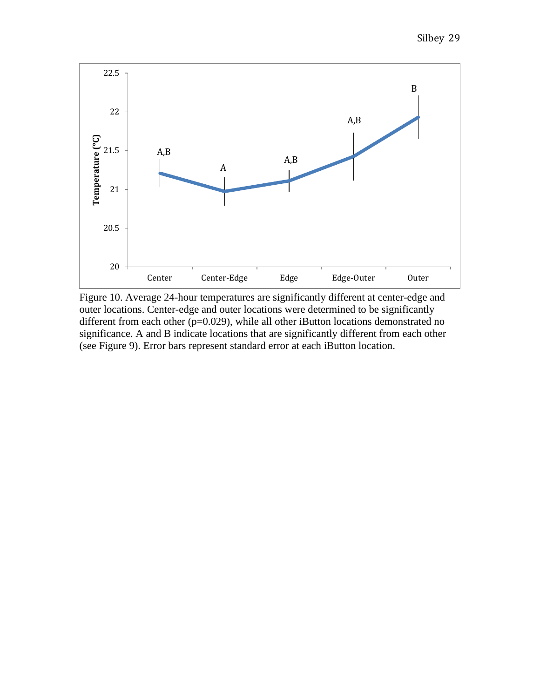

Figure 10. Average 24-hour temperatures are significantly different at center-edge and outer locations. Center-edge and outer locations were determined to be significantly different from each other  $(p=0.029)$ , while all other iButton locations demonstrated no significance. A and B indicate locations that are significantly different from each other (see Figure 9). Error bars represent standard error at each iButton location.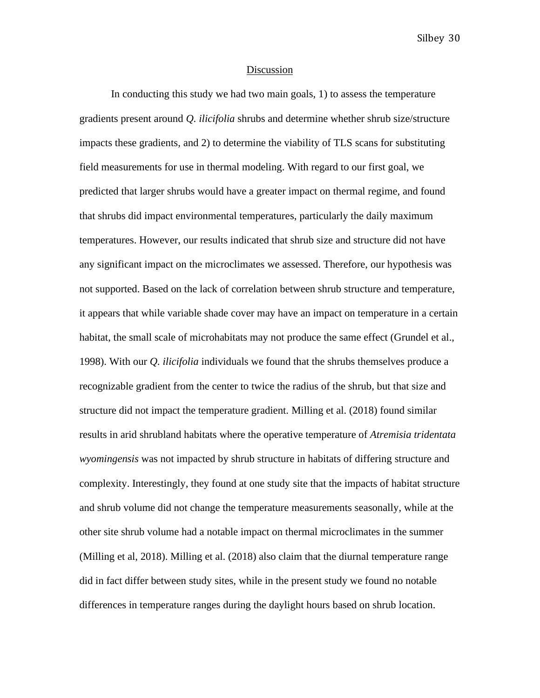#### Discussion

In conducting this study we had two main goals, 1) to assess the temperature gradients present around *Q. ilicifolia* shrubs and determine whether shrub size/structure impacts these gradients, and 2) to determine the viability of TLS scans for substituting field measurements for use in thermal modeling. With regard to our first goal, we predicted that larger shrubs would have a greater impact on thermal regime, and found that shrubs did impact environmental temperatures, particularly the daily maximum temperatures. However, our results indicated that shrub size and structure did not have any significant impact on the microclimates we assessed. Therefore, our hypothesis was not supported. Based on the lack of correlation between shrub structure and temperature, it appears that while variable shade cover may have an impact on temperature in a certain habitat, the small scale of microhabitats may not produce the same effect (Grundel et al., 1998). With our *Q. ilicifolia* individuals we found that the shrubs themselves produce a recognizable gradient from the center to twice the radius of the shrub, but that size and structure did not impact the temperature gradient. Milling et al. (2018) found similar results in arid shrubland habitats where the operative temperature of *Atremisia tridentata wyomingensis* was not impacted by shrub structure in habitats of differing structure and complexity. Interestingly, they found at one study site that the impacts of habitat structure and shrub volume did not change the temperature measurements seasonally, while at the other site shrub volume had a notable impact on thermal microclimates in the summer (Milling et al, 2018). Milling et al. (2018) also claim that the diurnal temperature range did in fact differ between study sites, while in the present study we found no notable differences in temperature ranges during the daylight hours based on shrub location.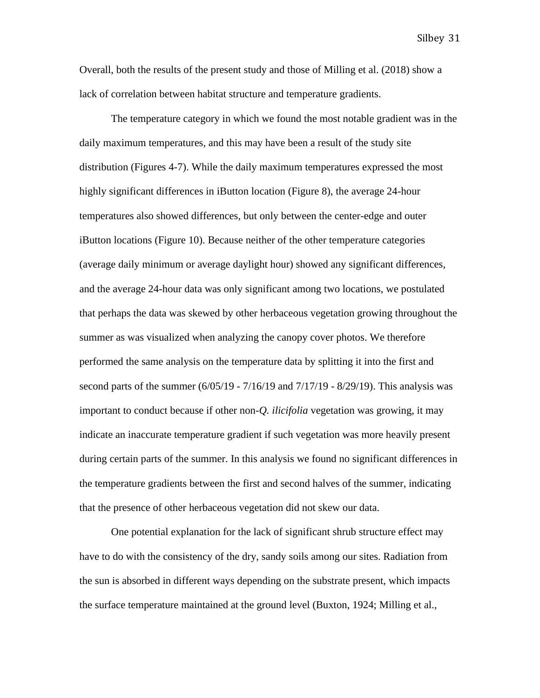Overall, both the results of the present study and those of Milling et al. (2018) show a lack of correlation between habitat structure and temperature gradients.

The temperature category in which we found the most notable gradient was in the daily maximum temperatures, and this may have been a result of the study site distribution (Figures 4-7). While the daily maximum temperatures expressed the most highly significant differences in iButton location (Figure 8), the average 24-hour temperatures also showed differences, but only between the center-edge and outer iButton locations (Figure 10). Because neither of the other temperature categories (average daily minimum or average daylight hour) showed any significant differences, and the average 24-hour data was only significant among two locations, we postulated that perhaps the data was skewed by other herbaceous vegetation growing throughout the summer as was visualized when analyzing the canopy cover photos. We therefore performed the same analysis on the temperature data by splitting it into the first and second parts of the summer  $(6/05/19 - 7/16/19)$  and  $7/17/19 - 8/29/19$ . This analysis was important to conduct because if other non-*Q. ilicifolia* vegetation was growing, it may indicate an inaccurate temperature gradient if such vegetation was more heavily present during certain parts of the summer. In this analysis we found no significant differences in the temperature gradients between the first and second halves of the summer, indicating that the presence of other herbaceous vegetation did not skew our data.

One potential explanation for the lack of significant shrub structure effect may have to do with the consistency of the dry, sandy soils among our sites. Radiation from the sun is absorbed in different ways depending on the substrate present, which impacts the surface temperature maintained at the ground level (Buxton, 1924; Milling et al.,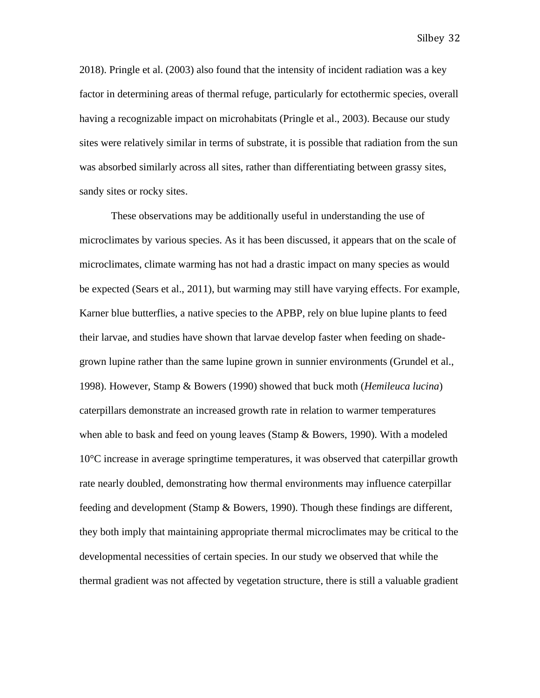2018). Pringle et al. (2003) also found that the intensity of incident radiation was a key factor in determining areas of thermal refuge, particularly for ectothermic species, overall having a recognizable impact on microhabitats (Pringle et al., 2003). Because our study sites were relatively similar in terms of substrate, it is possible that radiation from the sun was absorbed similarly across all sites, rather than differentiating between grassy sites, sandy sites or rocky sites.

These observations may be additionally useful in understanding the use of microclimates by various species. As it has been discussed, it appears that on the scale of microclimates, climate warming has not had a drastic impact on many species as would be expected (Sears et al., 2011), but warming may still have varying effects. For example, Karner blue butterflies, a native species to the APBP, rely on blue lupine plants to feed their larvae, and studies have shown that larvae develop faster when feeding on shadegrown lupine rather than the same lupine grown in sunnier environments (Grundel et al., 1998). However, Stamp & Bowers (1990) showed that buck moth (*Hemileuca lucina*) caterpillars demonstrate an increased growth rate in relation to warmer temperatures when able to bask and feed on young leaves (Stamp & Bowers, 1990). With a modeled 10°C increase in average springtime temperatures, it was observed that caterpillar growth rate nearly doubled, demonstrating how thermal environments may influence caterpillar feeding and development (Stamp & Bowers, 1990). Though these findings are different, they both imply that maintaining appropriate thermal microclimates may be critical to the developmental necessities of certain species. In our study we observed that while the thermal gradient was not affected by vegetation structure, there is still a valuable gradient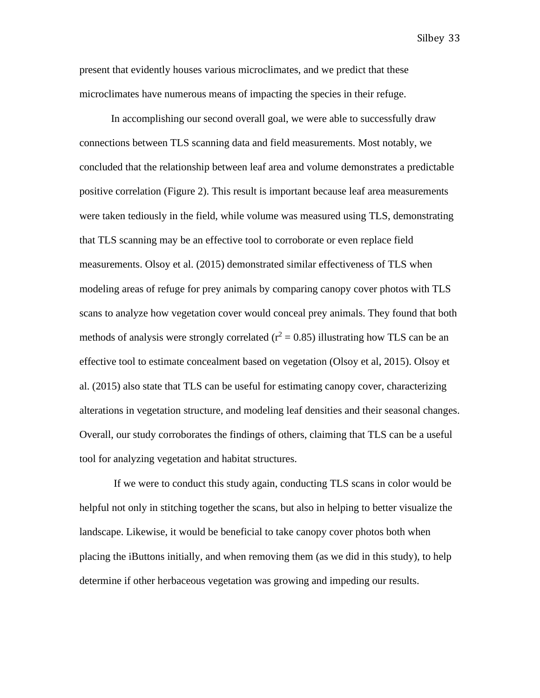present that evidently houses various microclimates, and we predict that these microclimates have numerous means of impacting the species in their refuge.

In accomplishing our second overall goal, we were able to successfully draw connections between TLS scanning data and field measurements. Most notably, we concluded that the relationship between leaf area and volume demonstrates a predictable positive correlation (Figure 2). This result is important because leaf area measurements were taken tediously in the field, while volume was measured using TLS, demonstrating that TLS scanning may be an effective tool to corroborate or even replace field measurements. Olsoy et al. (2015) demonstrated similar effectiveness of TLS when modeling areas of refuge for prey animals by comparing canopy cover photos with TLS scans to analyze how vegetation cover would conceal prey animals. They found that both methods of analysis were strongly correlated ( $r^2 = 0.85$ ) illustrating how TLS can be an effective tool to estimate concealment based on vegetation (Olsoy et al, 2015). Olsoy et al. (2015) also state that TLS can be useful for estimating canopy cover, characterizing alterations in vegetation structure, and modeling leaf densities and their seasonal changes. Overall, our study corroborates the findings of others, claiming that TLS can be a useful tool for analyzing vegetation and habitat structures.

If we were to conduct this study again, conducting TLS scans in color would be helpful not only in stitching together the scans, but also in helping to better visualize the landscape. Likewise, it would be beneficial to take canopy cover photos both when placing the iButtons initially, and when removing them (as we did in this study), to help determine if other herbaceous vegetation was growing and impeding our results.

Silbey 33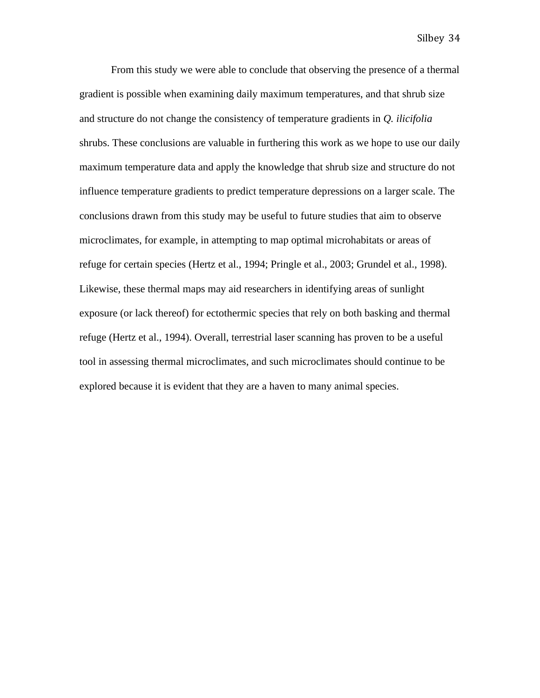From this study we were able to conclude that observing the presence of a thermal gradient is possible when examining daily maximum temperatures, and that shrub size and structure do not change the consistency of temperature gradients in *Q. ilicifolia* shrubs. These conclusions are valuable in furthering this work as we hope to use our daily maximum temperature data and apply the knowledge that shrub size and structure do not influence temperature gradients to predict temperature depressions on a larger scale. The conclusions drawn from this study may be useful to future studies that aim to observe microclimates, for example, in attempting to map optimal microhabitats or areas of refuge for certain species (Hertz et al., 1994; Pringle et al., 2003; Grundel et al., 1998). Likewise, these thermal maps may aid researchers in identifying areas of sunlight exposure (or lack thereof) for ectothermic species that rely on both basking and thermal refuge (Hertz et al., 1994). Overall, terrestrial laser scanning has proven to be a useful tool in assessing thermal microclimates, and such microclimates should continue to be explored because it is evident that they are a haven to many animal species.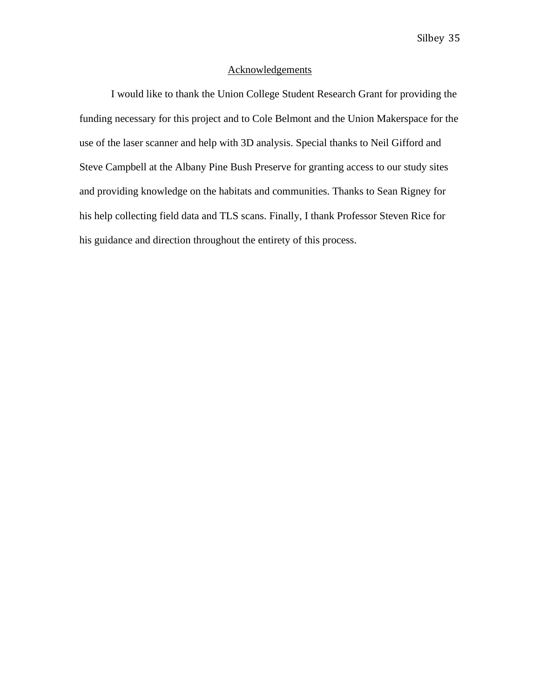## Acknowledgements

I would like to thank the Union College Student Research Grant for providing the funding necessary for this project and to Cole Belmont and the Union Makerspace for the use of the laser scanner and help with 3D analysis. Special thanks to Neil Gifford and Steve Campbell at the Albany Pine Bush Preserve for granting access to our study sites and providing knowledge on the habitats and communities. Thanks to Sean Rigney for his help collecting field data and TLS scans. Finally, I thank Professor Steven Rice for his guidance and direction throughout the entirety of this process.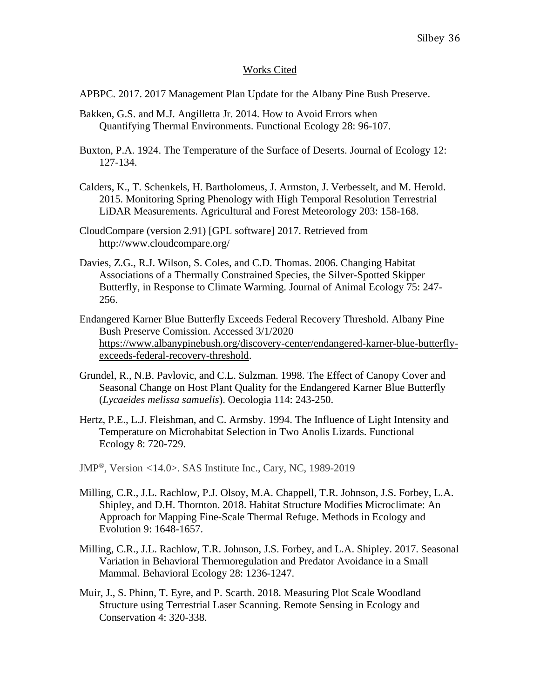# Works Cited

APBPC. 2017. 2017 Management Plan Update for the Albany Pine Bush Preserve.

- Bakken, G.S. and M.J. Angilletta Jr. 2014. How to Avoid Errors when Quantifying Thermal Environments. Functional Ecology 28: 96-107.
- Buxton, P.A. 1924. The Temperature of the Surface of Deserts. Journal of Ecology 12: 127-134.
- Calders, K., T. Schenkels, H. Bartholomeus, J. Armston, J. Verbesselt, and M. Herold. 2015. Monitoring Spring Phenology with High Temporal Resolution Terrestrial LiDAR Measurements. Agricultural and Forest Meteorology 203: 158-168.
- CloudCompare (version 2.91) [GPL software] 2017. Retrieved from http://www.cloudcompare.org/
- Davies, Z.G., R.J. Wilson, S. Coles, and C.D. Thomas. 2006. Changing Habitat Associations of a Thermally Constrained Species, the Silver-Spotted Skipper Butterfly, in Response to Climate Warming. Journal of Animal Ecology 75: 247- 256.
- Endangered Karner Blue Butterfly Exceeds Federal Recovery Threshold. Albany Pine Bush Preserve Comission. Accessed 3/1/2020 [https://www.albanypinebush.org/discovery-center/endangered-karner-blue-butterfly](https://www.albanypinebush.org/discovery-center/endangered-karner-blue-butterfly-exceeds-federal-recovery-threshold)[exceeds-federal-recovery-threshold.](https://www.albanypinebush.org/discovery-center/endangered-karner-blue-butterfly-exceeds-federal-recovery-threshold)
- Grundel, R., N.B. Pavlovic, and C.L. Sulzman. 1998. The Effect of Canopy Cover and Seasonal Change on Host Plant Quality for the Endangered Karner Blue Butterfly (*Lycaeides melissa samuelis*). Oecologia 114: 243-250.
- Hertz, P.E., L.J. Fleishman, and C. Armsby. 1994. The Influence of Light Intensity and Temperature on Microhabitat Selection in Two Anolis Lizards. Functional Ecology 8: 720-729.
- JMP®, Version *<*14.0>. SAS Institute Inc., Cary, NC, 1989-2019
- Milling, C.R., J.L. Rachlow, P.J. Olsoy, M.A. Chappell, T.R. Johnson, J.S. Forbey, L.A. Shipley, and D.H. Thornton. 2018. Habitat Structure Modifies Microclimate: An Approach for Mapping Fine-Scale Thermal Refuge. Methods in Ecology and Evolution 9: 1648-1657.
- Milling, C.R., J.L. Rachlow, T.R. Johnson, J.S. Forbey, and L.A. Shipley. 2017. Seasonal Variation in Behavioral Thermoregulation and Predator Avoidance in a Small Mammal. Behavioral Ecology 28: 1236-1247.
- Muir, J., S. Phinn, T. Eyre, and P. Scarth. 2018. Measuring Plot Scale Woodland Structure using Terrestrial Laser Scanning. Remote Sensing in Ecology and Conservation 4: 320-338.